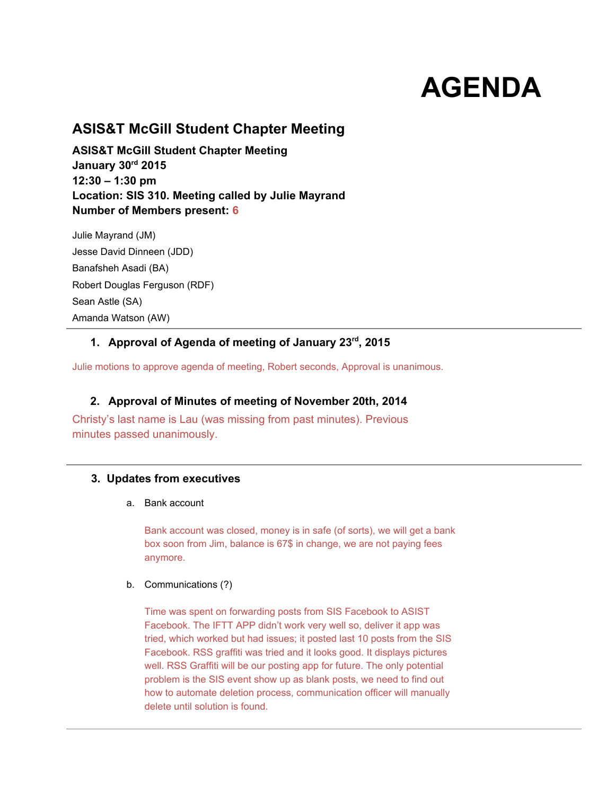# **AGENDA**

# **ASIS&T McGill Student Chapter Meeting**

**ASIS&T McGill Student Chapter Meeting January 30rd2015 12:30 – 1:30 pm Location: SIS 310. Meeting called by Julie Mayrand Number of Members present: 6**

Julie Mayrand (JM) Jesse David Dinneen (JDD) Banafsheh Asadi (BA) Robert Douglas Ferguson (RDF) Sean Astle (SA) Amanda Watson (AW)

# **1. Approval of Agenda of meeting of January 23rd, 2015**

Julie motions to approve agenda of meeting, Robert seconds, Approval is unanimous.

# **2. Approval of Minutes of meeting of November 20th, 2014**

Christy's last name is Lau (was missing from past minutes). Previous minutes passed unanimously.

# **3. Updates from executives**

a. Bank account

Bank account was closed, money is in safe (of sorts), we will get a bank box soon from Jim, balance is 67\$ in change, we are not paying fees anymore.

## b. Communications (?)

Time was spent on forwarding posts from SIS Facebook to ASIST Facebook. The IFTT APP didn't work very well so, deliver it app was tried, which worked but had issues; it posted last 10 posts from the SIS Facebook. RSS graffiti was tried and it looks good. It displays pictures well. RSS Graffiti will be our posting app for future. The only potential problem is the SIS event show up as blank posts, we need to find out how to automate deletion process, communication officer will manually delete until solution is found.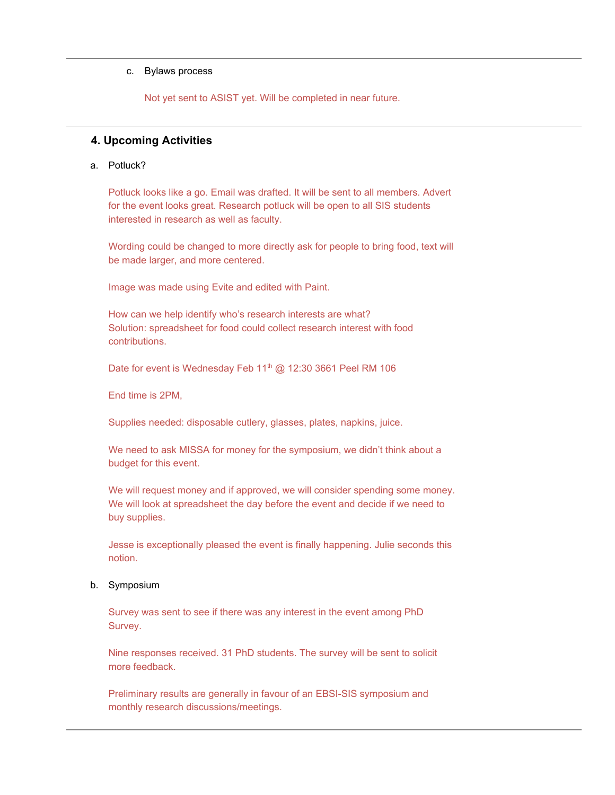#### c. Bylaws process

Not yet sent to ASIST yet. Will be completed in near future.

## **4. Upcoming Activities**

## a. Potluck?

Potluck looks like a go. Email was drafted. It will be sent to all members. Advert for the event looks great. Research potluck will be open to all SIS students interested in research as well as faculty.

Wording could be changed to more directly ask for people to bring food, text will be made larger, and more centered.

Image was made using Evite and edited with Paint.

How can we help identify who's research interests are what? Solution: spreadsheet for food could collect research interest with food contributions.

Date for event is Wednesday Feb 11<sup>th</sup> @ 12:30 3661 Peel RM 106

End time is 2PM,

Supplies needed: disposable cutlery, glasses, plates, napkins, juice.

We need to ask MISSA for money for the symposium, we didn't think about a budget for this event.

We will request money and if approved, we will consider spending some money. We will look at spreadsheet the day before the event and decide if we need to buy supplies.

Jesse is exceptionally pleased the event is finally happening. Julie seconds this notion.

#### b. Symposium

Survey was sent to see if there was any interest in the event among PhD Survey.

Nine responses received. 31 PhD students. The survey will be sent to solicit more feedback.

Preliminary results are generally in favour of an EBSI-SIS symposium and monthly research discussions/meetings.